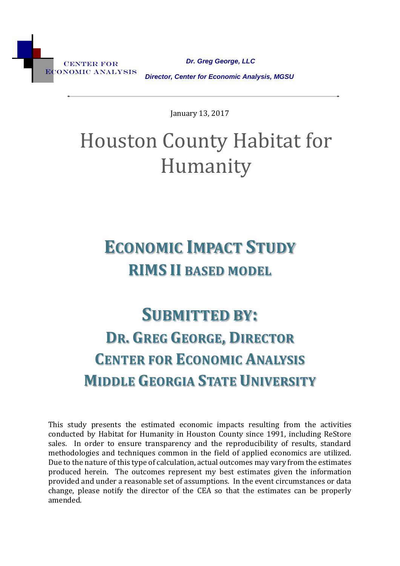CENTER FOR Economic Analysis

 *Dr. Greg George, LLC Director, Center for Economic Analysis, MGSU*

January 13, 2017

# Houston County Habitat for Humanity

# **ECONOMIC IMPACT STUDY RIMS II BASED MODEL**

# **SUBMITTED BY: DR. GREG GEORGE, DIRECTOR CENTER FOR ECONOMIC ANALYSIS MIDDLE GEORGIA STATE UNIVERSITY**

This study presents the estimated economic impacts resulting from the activities conducted by Habitat for Humanity in Houston County since 1991, including ReStore sales. In order to ensure transparency and the reproducibility of results, standard methodologies and techniques common in the field of applied economics are utilized. Due to the nature of this type of calculation, actual outcomes may vary from the estimates produced herein. The outcomes represent my best estimates given the information provided and under a reasonable set of assumptions. In the event circumstances or data change, please notify the director of the CEA so that the estimates can be properly amended.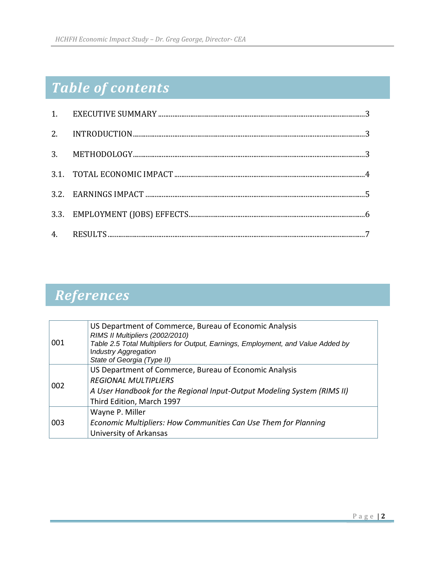# *Table of contents*

# *References*

| 001 | US Department of Commerce, Bureau of Economic Analysis<br>RIMS II Multipliers (2002/2010)<br>Table 2.5 Total Multipliers for Output, Earnings, Employment, and Value Added by<br><b>Industry Aggregation</b><br>State of Georgia (Type II) |
|-----|--------------------------------------------------------------------------------------------------------------------------------------------------------------------------------------------------------------------------------------------|
| 002 | US Department of Commerce, Bureau of Economic Analysis<br><b>REGIONAL MULTIPLIERS</b><br>A User Handbook for the Regional Input-Output Modeling System (RIMS II)<br>Third Edition, March 1997                                              |
| 003 | Wayne P. Miller<br>Economic Multipliers: How Communities Can Use Them for Planning<br>University of Arkansas                                                                                                                               |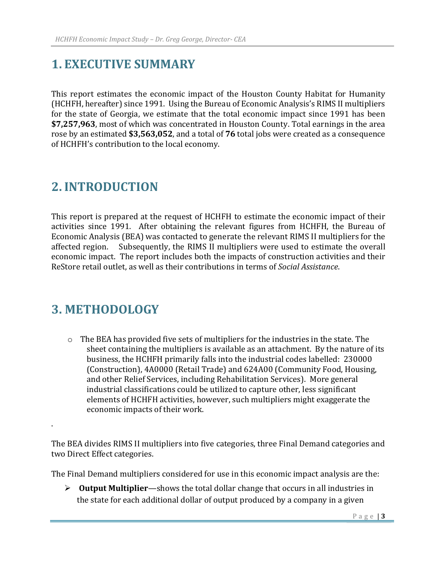## <span id="page-2-0"></span>**1. EXECUTIVE SUMMARY**

This report estimates the economic impact of the Houston County Habitat for Humanity (HCHFH, hereafter) since 1991. Using the Bureau of Economic Analysis's RIMS II multipliers for the state of Georgia, we estimate that the total economic impact since 1991 has been **\$7,257,963**, most of which was concentrated in Houston County. Total earnings in the area rose by an estimated **\$3,563,052**, and a total of **76** total jobs were created as a consequence of HCHFH's contribution to the local economy.

## <span id="page-2-1"></span>**2.INTRODUCTION**

This report is prepared at the request of HCHFH to estimate the economic impact of their activities since 1991. After obtaining the relevant figures from HCHFH, the Bureau of Economic Analysis (BEA) was contacted to generate the relevant RIMS II multipliers for the affected region. Subsequently, the RIMS II multipliers were used to estimate the overall economic impact. The report includes both the impacts of construction activities and their ReStore retail outlet, as well as their contributions in terms of *Social Assistance*.

### **3. METHODOLOGY**

.

<span id="page-2-2"></span>o The BEA has provided five sets of multipliers for the industries in the state. The sheet containing the multipliers is available as an attachment. By the nature of its business, the HCHFH primarily falls into the industrial codes labelled: 230000 (Construction), 4A0000 (Retail Trade) and 624A00 (Community Food, Housing, and other Relief Services, including Rehabilitation Services). More general industrial classifications could be utilized to capture other, less significant elements of HCHFH activities, however, such multipliers might exaggerate the economic impacts of their work.

The BEA divides RIMS II multipliers into five categories, three Final Demand categories and two Direct Effect categories.

The Final Demand multipliers considered for use in this economic impact analysis are the:

 **Output Multiplier**—shows the total dollar change that occurs in all industries in the state for each additional dollar of output produced by a company in a given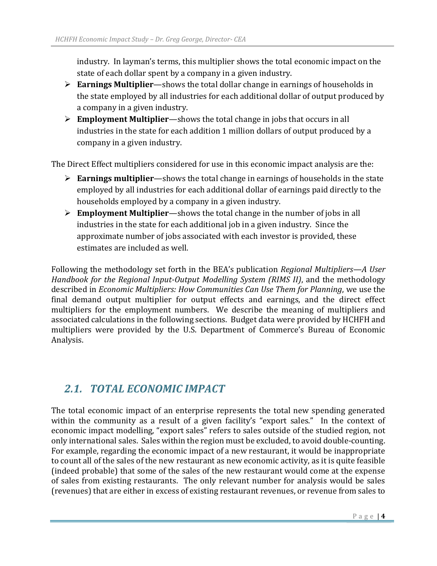industry. In layman's terms, this multiplier shows the total economic impact on the state of each dollar spent by a company in a given industry.

- **Earnings Multiplier**—shows the total dollar change in earnings of households in the state employed by all industries for each additional dollar of output produced by a company in a given industry.
- **Employment Multiplier**—shows the total change in jobs that occurs in all industries in the state for each addition 1 million dollars of output produced by a company in a given industry.

The Direct Effect multipliers considered for use in this economic impact analysis are the:

- **Earnings multiplier**—shows the total change in earnings of households in the state employed by all industries for each additional dollar of earnings paid directly to the households employed by a company in a given industry.
- **Employment Multiplier**—shows the total change in the number of jobs in all industries in the state for each additional job in a given industry. Since the approximate number of jobs associated with each investor is provided, these estimates are included as well.

Following the methodology set forth in the BEA's publication *Regional Multipliers—A User Handbook for the Regional Input-Output Modelling System (RIMS II)*, and the methodology described in *Economic Multipliers: How Communities Can Use Them for Planning*, we use the final demand output multiplier for output effects and earnings, and the direct effect multipliers for the employment numbers. We describe the meaning of multipliers and associated calculations in the following sections. Budget data were provided by HCHFH and multipliers were provided by the U.S. Department of Commerce's Bureau of Economic Analysis.

#### <span id="page-3-0"></span>*2.1. TOTAL ECONOMIC IMPACT*

The total economic impact of an enterprise represents the total new spending generated within the community as a result of a given facility's "export sales." In the context of economic impact modelling, "export sales" refers to sales outside of the studied region, not only international sales. Sales within the region must be excluded, to avoid double-counting. For example, regarding the economic impact of a new restaurant, it would be inappropriate to count all of the sales of the new restaurant as new economic activity, as it is quite feasible (indeed probable) that some of the sales of the new restaurant would come at the expense of sales from existing restaurants. The only relevant number for analysis would be sales (revenues) that are either in excess of existing restaurant revenues, or revenue from sales to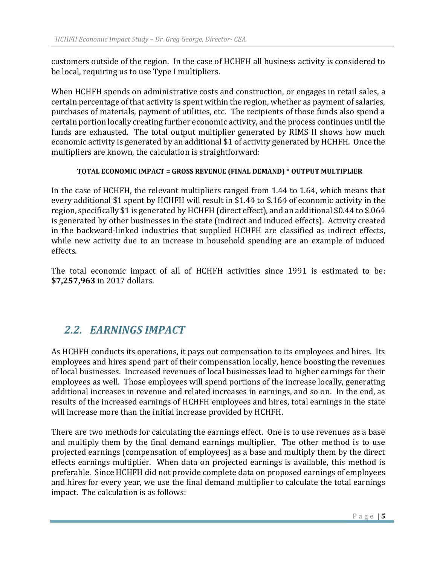customers outside of the region. In the case of HCHFH all business activity is considered to be local, requiring us to use Type I multipliers.

When HCHFH spends on administrative costs and construction, or engages in retail sales, a certain percentage of that activity is spent within the region, whether as payment of salaries, purchases of materials, payment of utilities, etc. The recipients of those funds also spend a certain portion locally creating further economic activity, and the process continues until the funds are exhausted. The total output multiplier generated by RIMS II shows how much economic activity is generated by an additional \$1 of activity generated by HCHFH. Once the multipliers are known, the calculation is straightforward:

#### **TOTAL ECONOMIC IMPACT = GROSS REVENUE (FINAL DEMAND) \* OUTPUT MULTIPLIER**

In the case of HCHFH, the relevant multipliers ranged from 1.44 to 1.64, which means that every additional \$1 spent by HCHFH will result in \$1.44 to \$.164 of economic activity in the region, specifically \$1 is generated by HCHFH (direct effect), and an additional \$0.44 to \$.064 is generated by other businesses in the state (indirect and induced effects). Activity created in the backward-linked industries that supplied HCHFH are classified as indirect effects, while new activity due to an increase in household spending are an example of induced effects.

The total economic impact of all of HCHFH activities since 1991 is estimated to be: **\$7,257,963** in 2017 dollars.

### <span id="page-4-0"></span>*2.2. EARNINGS IMPACT*

As HCHFH conducts its operations, it pays out compensation to its employees and hires. Its employees and hires spend part of their compensation locally, hence boosting the revenues of local businesses. Increased revenues of local businesses lead to higher earnings for their employees as well. Those employees will spend portions of the increase locally, generating additional increases in revenue and related increases in earnings, and so on. In the end, as results of the increased earnings of HCHFH employees and hires, total earnings in the state will increase more than the initial increase provided by HCHFH.

There are two methods for calculating the earnings effect. One is to use revenues as a base and multiply them by the final demand earnings multiplier. The other method is to use projected earnings (compensation of employees) as a base and multiply them by the direct effects earnings multiplier. When data on projected earnings is available, this method is preferable. Since HCHFH did not provide complete data on proposed earnings of employees and hires for every year, we use the final demand multiplier to calculate the total earnings impact. The calculation is as follows: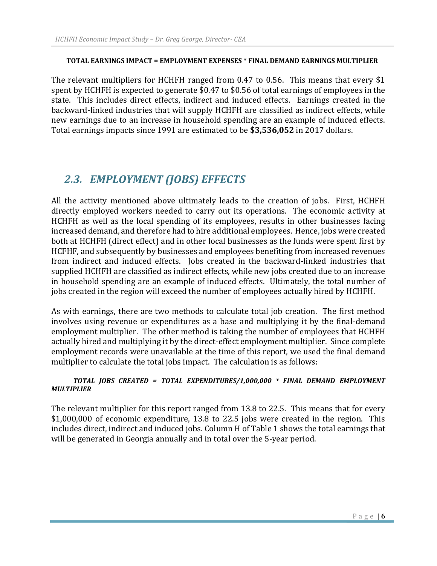#### **TOTAL EARNINGS IMPACT = EMPLOYMENT EXPENSES \* FINAL DEMAND EARNINGS MULTIPLIER**

The relevant multipliers for HCHFH ranged from 0.47 to 0.56. This means that every \$1 spent by HCHFH is expected to generate \$0.47 to \$0.56 of total earnings of employees in the state. This includes direct effects, indirect and induced effects. Earnings created in the backward-linked industries that will supply HCHFH are classified as indirect effects, while new earnings due to an increase in household spending are an example of induced effects. Total earnings impacts since 1991 are estimated to be **\$3,536,052** in 2017 dollars.

### <span id="page-5-0"></span>*2.3. EMPLOYMENT (JOBS) EFFECTS*

All the activity mentioned above ultimately leads to the creation of jobs. First, HCHFH directly employed workers needed to carry out its operations. The economic activity at HCHFH as well as the local spending of its employees, results in other businesses facing increased demand, and therefore had to hire additional employees. Hence, jobs were created both at HCHFH (direct effect) and in other local businesses as the funds were spent first by HCFHF, and subsequently by businesses and employees benefiting from increased revenues from indirect and induced effects. Jobs created in the backward-linked industries that supplied HCHFH are classified as indirect effects, while new jobs created due to an increase in household spending are an example of induced effects. Ultimately, the total number of jobs created in the region will exceed the number of employees actually hired by HCHFH.

As with earnings, there are two methods to calculate total job creation. The first method involves using revenue or expenditures as a base and multiplying it by the final-demand employment multiplier. The other method is taking the number of employees that HCHFH actually hired and multiplying it by the direct-effect employment multiplier. Since complete employment records were unavailable at the time of this report, we used the final demand multiplier to calculate the total jobs impact. The calculation is as follows:

#### *TOTAL JOBS CREATED = TOTAL EXPENDITURES/1,000,000 \* FINAL DEMAND EMPLOYMENT MULTIPLIER*

The relevant multiplier for this report ranged from 13.8 to 22.5. This means that for every \$1,000,000 of economic expenditure, 13.8 to 22.5 jobs were created in the region. This includes direct, indirect and induced jobs. Column H of Table 1 shows the total earnings that will be generated in Georgia annually and in total over the 5-year period.